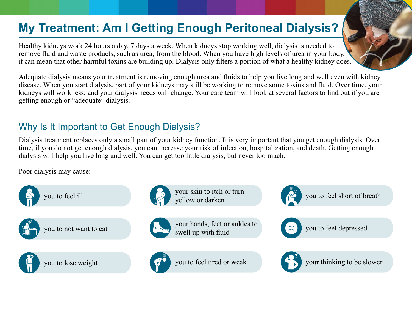# **My Treatment: Am I Getting Enough Peritoneal Dialysis?**

Healthy kidneys work 24 hours a day, 7 days a week. When kidneys stop working well, dialysis is needed to remove fluid and waste products, such as urea, from the blood. When you have high levels of urea in your body, it can mean that other harmful toxins are building up. Dialysis only filters a portion of what a healthy kidney does.

Adequate dialysis means your treatment is removing enough urea and fluids to help you live long and well even with kidney disease. When you start dialysis, part of your kidneys may still be working to remove some toxins and fluid. Over time, your kidneys will work less, and your dialysis needs will change. Your care team will look at several factors to find out if you are getting enough or "adequate" dialysis.

### Why Is It Important to Get Enough Dialysis?

Dialysis treatment replaces only a small part of your kidney function. It is very important that you get enough dialysis. Over time, if you do not get enough dialysis, you can increase your risk of infection, hospitalization, and death. Getting enough dialysis will help you live long and well. You can get too little dialysis, but never too much.

Poor dialysis may cause:





your skin to itch or turn yellow or darken



your hands, feet or ankles to swell up with fluid



you to feel tired or weak



you to feel short of breath



you to feel depressed



your thinking to be slower